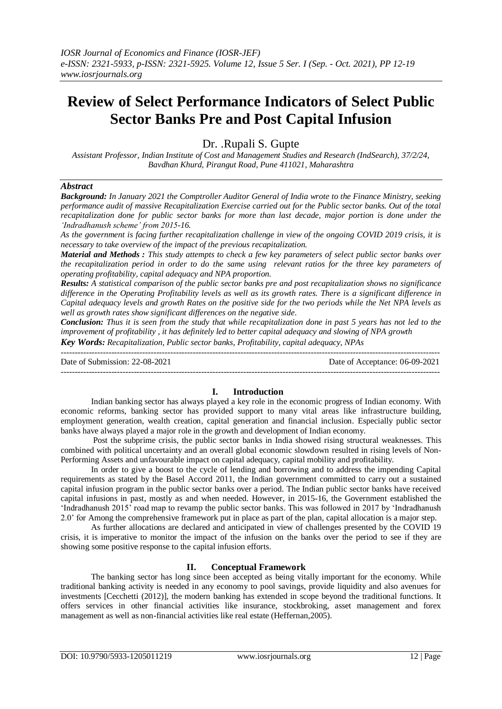# **Review of Select Performance Indicators of Select Public Sector Banks Pre and Post Capital Infusion**

Dr. .Rupali S. Gupte

*Assistant Professor, Indian Institute of Cost and Management Studies and Research (IndSearch), 37/2/24, Bavdhan Khurd, Pirangut Road, Pune 411021, Maharashtra*

## *Abstract*

*Background: In January 2021 the Comptroller Auditor General of India wrote to the Finance Ministry, seeking performance audit of massive Recapitalization Exercise carried out for the Public sector banks. Out of the total recapitalization done for public sector banks for more than last decade, major portion is done under the 'Indradhanush scheme' from 2015-16.*

*As the government is facing further recapitalization challenge in view of the ongoing COVID 2019 crisis, it is necessary to take overview of the impact of the previous recapitalization.*

*Material and Methods : This study attempts to check a few key parameters of select public sector banks over the recapitalization period in order to do the same using relevant ratios for the three key parameters of operating profitability, capital adequacy and NPA proportion.* 

*Results: A statistical comparison of the public sector banks pre and post recapitalization shows no significance difference in the Operating Profitability levels as well as its growth rates. There is a significant difference in Capital adequacy levels and growth Rates on the positive side for the two periods while the Net NPA levels as well as growth rates show significant differences on the negative side.*

*Conclusion: Thus it is seen from the study that while recapitalization done in past 5 years has not led to the improvement of profitability , it has definitely led to better capital adequacy and slowing of NPA growth Key Words: Recapitalization, Public sector banks, Profitability, capital adequacy, NPAs*

---------------------------------------------------------------------------------------------------------------------------------------

Date of Submission: 22-08-2021 Date of Acceptance: 06-09-2021 ---------------------------------------------------------------------------------------------------------------------------------------

# **I. Introduction**

Indian banking sector has always played a key role in the economic progress of Indian economy. With economic reforms, banking sector has provided support to many vital areas like infrastructure building, employment generation, wealth creation, capital generation and financial inclusion. Especially public sector banks have always played a major role in the growth and development of Indian economy.

Post the subprime crisis, the public sector banks in India showed rising structural weaknesses. This combined with political uncertainty and an overall global economic slowdown resulted in rising levels of Non-Performing Assets and unfavourable impact on capital adequacy, capital mobility and profitability.

In order to give a boost to the cycle of lending and borrowing and to address the impending Capital requirements as stated by the Basel Accord 2011, the Indian government committed to carry out a sustained capital infusion program in the public sector banks over a period. The Indian public sector banks have received capital infusions in past, mostly as and when needed. However, in 2015-16, the Government established the 'Indradhanush 2015' road map to revamp the public sector banks. This was followed in 2017 by 'Indradhanush 2.0' for Among the comprehensive framework put in place as part of the plan, capital allocation is a major step.

As further allocations are declared and anticipated in view of challenges presented by the COVID 19 crisis, it is imperative to monitor the impact of the infusion on the banks over the period to see if they are showing some positive response to the capital infusion efforts.

# **II. Conceptual Framework**

The banking sector has long since been accepted as being vitally important for the economy. While traditional banking activity is needed in any economy to pool savings, provide liquidity and also avenues for investments [Cecchetti (2012)], the modern banking has extended in scope beyond the traditional functions. It offers services in other financial activities like insurance, stockbroking, asset management and forex management as well as non-financial activities like real estate (Heffernan,2005).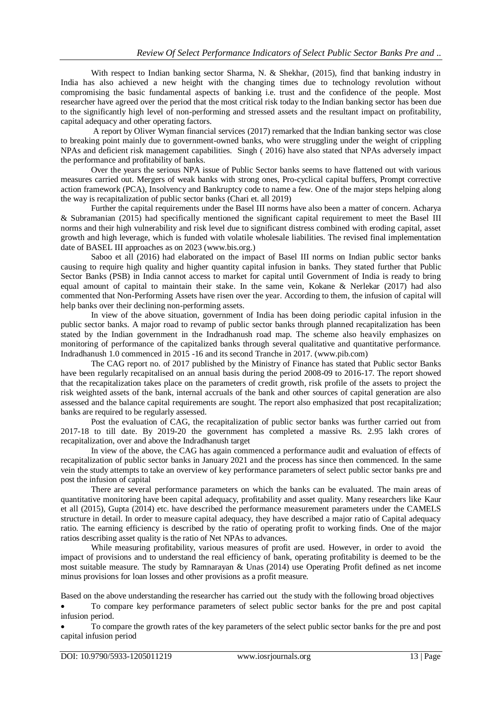With respect to Indian banking sector Sharma, N. & Shekhar, (2015), find that banking industry in India has also achieved a new height with the changing times due to technology revolution without compromising the basic fundamental aspects of banking i.e. trust and the confidence of the people. Most researcher have agreed over the period that the most critical risk today to the Indian banking sector has been due to the significantly high level of non-performing and stressed assets and the resultant impact on profitability, capital adequacy and other operating factors.

A report by Oliver Wyman financial services (2017) remarked that the Indian banking sector was close to breaking point mainly due to government-owned banks, who were struggling under the weight of crippling NPAs and deficient risk management capabilities. Singh ( 2016) have also stated that NPAs adversely impact the performance and profitability of banks.

Over the years the serious NPA issue of Public Sector banks seems to have flattened out with various measures carried out. Mergers of weak banks with strong ones, Pro-cyclical capital buffers, Prompt corrective action framework (PCA), Insolvency and Bankruptcy code to name a few. One of the major steps helping along the way is recapitalization of public sector banks (Chari et. all 2019)

Further the capital requirements under the Basel III norms have also been a matter of concern. Acharya & Subramanian (2015) had specifically mentioned the significant capital requirement to meet the Basel III norms and their high vulnerability and risk level due to significant distress combined with eroding capital, asset growth and high leverage, which is funded with volatile wholesale liabilities. The revised final implementation date of BASEL III approaches as on 2023 (www.bis.org.)

Saboo et all (2016) had elaborated on the impact of Basel III norms on Indian public sector banks causing to require high quality and higher quantity capital infusion in banks. They stated further that Public Sector Banks (PSB) in India cannot access to market for capital until Government of India is ready to bring equal amount of capital to maintain their stake. In the same vein, Kokane & Nerlekar (2017) had also commented that Non-Performing Assets have risen over the year. According to them, the infusion of capital will help banks over their declining non-performing assets.

In view of the above situation, government of India has been doing periodic capital infusion in the public sector banks. A major road to revamp of public sector banks through planned recapitalization has been stated by the Indian government in the Indradhanush road map. The scheme also heavily emphasizes on monitoring of performance of the capitalized banks through several qualitative and quantitative performance. Indradhanush 1.0 commenced in 2015 -16 and its second Tranche in 2017. (www.pib.com)

The CAG report no. of 2017 published by the Ministry of Finance has stated that Public sector Banks have been regularly recapitalised on an annual basis during the period 2008-09 to 2016-17. The report showed that the recapitalization takes place on the parameters of credit growth, risk profile of the assets to project the risk weighted assets of the bank, internal accruals of the bank and other sources of capital generation are also assessed and the balance capital requirements are sought. The report also emphasized that post recapitalization; banks are required to be regularly assessed.

Post the evaluation of CAG, the recapitalization of public sector banks was further carried out from 2017-18 to till date. By 2019-20 the government has completed a massive Rs. 2.95 lakh crores of recapitalization, over and above the Indradhanush target

In view of the above, the CAG has again commenced a performance audit and evaluation of effects of recapitalization of public sector banks in January 2021 and the process has since then commenced. In the same vein the study attempts to take an overview of key performance parameters of select public sector banks pre and post the infusion of capital

There are several performance parameters on which the banks can be evaluated. The main areas of quantitative monitoring have been capital adequacy, profitability and asset quality. Many researchers like Kaur et all (2015), Gupta (2014) etc. have described the performance measurement parameters under the CAMELS structure in detail. In order to measure capital adequacy, they have described a major ratio of Capital adequacy ratio. The earning efficiency is described by the ratio of operating profit to working finds. One of the major ratios describing asset quality is the ratio of Net NPAs to advances.

While measuring profitability, various measures of profit are used. However, in order to avoid the impact of provisions and to understand the real efficiency of bank, operating profitability is deemed to be the most suitable measure. The study by Ramnarayan & Unas (2014) use Operating Profit defined as net income minus provisions for loan losses and other provisions as a profit measure.

Based on the above understanding the researcher has carried out the study with the following broad objectives

 To compare key performance parameters of select public sector banks for the pre and post capital infusion period.

 To compare the growth rates of the key parameters of the select public sector banks for the pre and post capital infusion period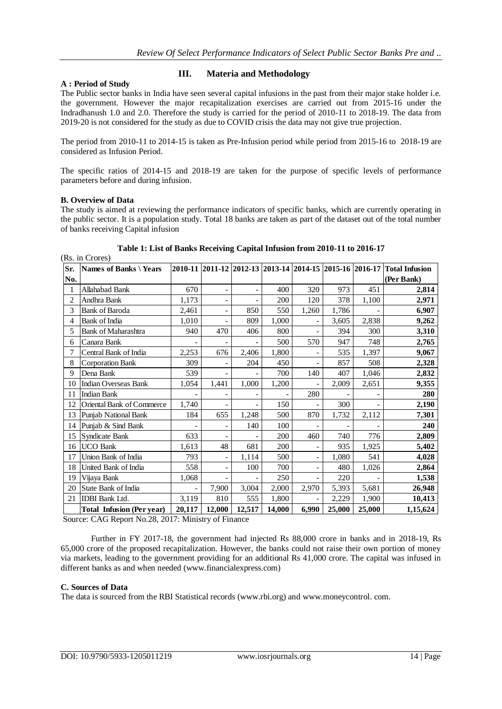# **A : Period of Study**

# **III. Materia and Methodology**

The Public sector banks in India have seen several capital infusions in the past from their major stake holder i.e. the government. However the major recapitalization exercises are carried out from 2015-16 under the Indradhanush 1.0 and 2.0. Therefore the study is carried for the period of 2010-11 to 2018-19. The data from 2019-20 is not considered for the study as due to COVID crisis the data may not give true projection.

The period from 2010-11 to 2014-15 is taken as Pre-Infusion period while period from 2015-16 to 2018-19 are considered as Infusion Period.

The specific ratios of 2014-15 and 2018-19 are taken for the purpose of specific levels of performance parameters before and during infusion.

#### **B. Overview of Data**

(Rs. in Crores)

The study is aimed at reviewing the performance indicators of specific banks, which are currently operating in the public sector. It is a population study. Total 18 banks are taken as part of the dataset out of the total number of banks receiving Capital infusion

| Sr.            | Names of Banks \Years            |                          |                              |                              |        |                          |        |        | 2010-11 2011-12 2012-13 2013-14 2014-15 2015-16 2016-17 Total Infusion |
|----------------|----------------------------------|--------------------------|------------------------------|------------------------------|--------|--------------------------|--------|--------|------------------------------------------------------------------------|
| No.            |                                  |                          |                              |                              |        |                          |        |        | (Per Bank)                                                             |
| 1              | Allahabad Bank                   | 670                      | $\overline{\phantom{a}}$     | $\overline{\phantom{0}}$     | 400    | 320                      | 973    | 451    | 2,814                                                                  |
| $\overline{c}$ | Andhra Bank                      | 1,173                    | $\overline{\phantom{a}}$     | $\qquad \qquad \blacksquare$ | 200    | 120                      | 378    | 1,100  | 2,971                                                                  |
| 3              | <b>Bank of Baroda</b>            | 2,461                    | $\qquad \qquad \blacksquare$ | 850                          | 550    | 1,260                    | 1,786  |        | 6,907                                                                  |
| 4              | Bank of India                    | 1.010                    | $\overline{\phantom{a}}$     | 809                          | 1,000  |                          | 3,605  | 2,838  | 9,262                                                                  |
| 5              | <b>Bank of Maharashtra</b>       | 940                      | 470                          | 406                          | 800    | $\overline{a}$           | 394    | 300    | 3,310                                                                  |
| 6              | Canara Bank                      |                          |                              |                              | 500    | 570                      | 947    | 748    | 2,765                                                                  |
| 7              | Central Bank of India            | 2,253                    | 676                          | 2,406                        | 1,800  |                          | 535    | 1,397  | 9,067                                                                  |
| 8              | <b>Corporation Bank</b>          | 309                      | $\overline{\phantom{m}}$     | 204                          | 450    |                          | 857    | 508    | 2,328                                                                  |
| 9              | Dena Bank                        | 539                      |                              |                              | 700    | 140                      | 407    | 1,046  | 2,832                                                                  |
| 10             | <b>Indian Overseas Bank</b>      | 1,054                    | 1,441                        | 1,000                        | 1,200  |                          | 2,009  | 2,651  | 9,355                                                                  |
| 11             | <b>Indian Bank</b>               |                          | $\overline{\phantom{0}}$     |                              |        | 280                      |        |        | 280                                                                    |
| 12             | Oriental Bank of Commerce        | 1,740                    | $\overline{\phantom{a}}$     | $\overline{\phantom{0}}$     | 150    | ÷,                       | 300    |        | 2,190                                                                  |
| 13             | Punjab National Bank             | 184                      | 655                          | 1,248                        | 500    | 870                      | 1,732  | 2,112  | 7,301                                                                  |
| 14             | Punjab & Sind Bank               | $\overline{\phantom{0}}$ | $\overline{\phantom{a}}$     | 140                          | 100    | $\overline{\phantom{a}}$ |        |        | 240                                                                    |
| 15             | Syndicate Bank                   | 633                      | $\overline{\phantom{a}}$     |                              | 200    | 460                      | 740    | 776    | 2,809                                                                  |
| 16             | <b>UCO Bank</b>                  | 1,613                    | 48                           | 681                          | 200    |                          | 935    | 1,925  | 5,402                                                                  |
| 17             | Union Bank of India              | 793                      | $\frac{1}{2}$                | 1,114                        | 500    | $\overline{a}$           | 1,080  | 541    | 4,028                                                                  |
| 18             | United Bank of India             | 558                      | $\overline{\phantom{a}}$     | 100                          | 700    |                          | 480    | 1,026  | 2,864                                                                  |
| 19             | Vijaya Bank                      | 1,068                    |                              |                              | 250    |                          | 220    |        | 1,538                                                                  |
| 20             | State Bank of India              |                          | 7,900                        | 3,004                        | 2,000  | 2,970                    | 5,393  | 5,681  | 26,948                                                                 |
| 21             | <b>IDBI</b> Bank Ltd.            | 3,119                    | 810                          | 555                          | 1,800  |                          | 2,229  | 1,900  | 10,413                                                                 |
|                | <b>Total Infusion (Per year)</b> | 20,117                   | 12,000                       | 12,517                       | 14,000 | 6,990                    | 25,000 | 25,000 | 1,15,624                                                               |

**Table 1: List of Banks Receiving Capital Infusion from 2010-11 to 2016-17**

Source: CAG Report No.28, 2017: Ministry of Finance

Further in FY 2017-18, the government had injected Rs  $88,000$  crore in banks and in 2018-19, Rs 65,000 crore of the proposed recapitalization. However, the banks could not raise their own portion of money via markets, leading to the government providing for an additional Rs 41,000 crore. The capital was infused in different banks as and when needed (www.financialexpress.com)

#### **C. Sources of Data**

The data is sourced from the RBI Statistical records (www.rbi.org) and www.moneycontrol. com.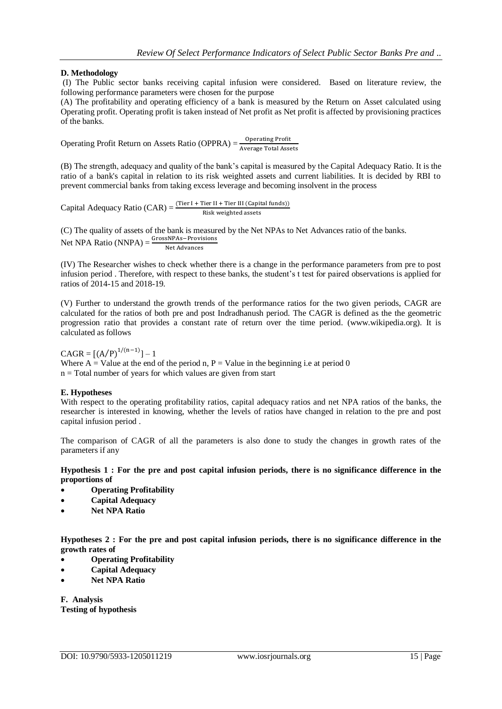# **D. Methodology**

(I) The Public sector banks receiving capital infusion were considered. Based on literature review, the following performance parameters were chosen for the purpose

(A) The profitability and operating efficiency of a bank is measured by the Return on Asset calculated using Operating profit. Operating profit is taken instead of Net profit as Net profit is affected by provisioning practices of the banks.

Operating Profit Return on Assets Ratio (OPPRA) =  $\frac{0}{4}$ A

(B) The strength, adequacy and quality of the bank's capital is measured by the Capital Adequacy Ratio. It is the ratio of a bank's capital in relation to its risk weighted assets and current liabilities. It is decided by RBI to prevent commercial banks from taking excess leverage and becoming insolvent in the process

Capital Adequacy Ratio (CAR) =  $\frac{(11e+1)^2}{R}$ 

(C) The quality of assets of the bank is measured by the Net NPAs to Net Advances ratio of the banks. Net NPA Ratio (NNPA) =  $\frac{u \text{ loss}}{N}$ 

(IV) The Researcher wishes to check whether there is a change in the performance parameters from pre to post infusion period . Therefore, with respect to these banks, the student's t test for paired observations is applied for ratios of 2014-15 and 2018-19.

(V) Further to understand the growth trends of the performance ratios for the two given periods, CAGR are calculated for the ratios of both pre and post Indradhanush period. The CAGR is defined as the the geometric progression ratio that provides a constant rate of return over the time period. (www.wikipedia.org). It is calculated as follows

 $CAGR = [(A/P)<sup>1/(n-1)</sup>] - 1$ Where  $A =$  Value at the end of the period n, P = Value in the beginning i.e at period 0  $n = Total number of years for which values are given from start$ 

# **E. Hypotheses**

With respect to the operating profitability ratios, capital adequacy ratios and net NPA ratios of the banks, the researcher is interested in knowing, whether the levels of ratios have changed in relation to the pre and post capital infusion period .

The comparison of CAGR of all the parameters is also done to study the changes in growth rates of the parameters if any

**Hypothesis 1 : For the pre and post capital infusion periods, there is no significance difference in the proportions of** 

- **Operating Profitability**
- **Capital Adequacy**
- **Net NPA Ratio**

**Hypotheses 2 : For the pre and post capital infusion periods, there is no significance difference in the growth rates of** 

- **Operating Profitability**
- **Capital Adequacy**
- **Net NPA Ratio**

**F. Analysis Testing of hypothesis**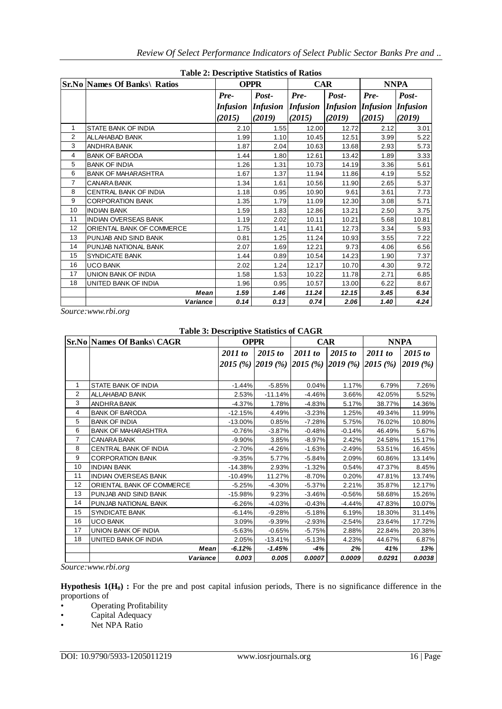|                | <b>Sr.No Names Of Banks\ Ratios</b> | Table 2. Descriptive biaustics of Katios<br><b>OPPR</b> |                 |                 | <b>CAR</b>                        | <b>NNPA</b> |        |
|----------------|-------------------------------------|---------------------------------------------------------|-----------------|-----------------|-----------------------------------|-------------|--------|
|                |                                     | Post-<br>Pre-                                           |                 | Post-<br>Pre-   |                                   | Pre-        | Post-  |
|                |                                     | <b>Infusion</b>                                         | <i>Infusion</i> | <i>Infusion</i> | <b>Infusion Infusion Infusion</b> |             |        |
|                |                                     | (2015)                                                  | (2019)          | (2015)          | (2019)                            | (2015)      | (2019) |
| 1              | <b>STATE BANK OF INDIA</b>          | 2.10                                                    | 1.55            | 12.00           | 12.72                             | 2.12        | 3.01   |
| 2              | ALLAHABAD BANK                      | 1.99                                                    | 1.10            | 10.45           | 12.51                             | 3.99        | 5.22   |
| 3              | ANDHRA BANK                         | 1.87                                                    | 2.04            | 10.63           | 13.68                             | 2.93        | 5.73   |
| $\overline{4}$ | <b>BANK OF BARODA</b>               | 1.44                                                    | 1.80            | 12.61           | 13.42                             | 1.89        | 3.33   |
| 5              | <b>BANK OF INDIA</b>                | 1.26                                                    | 1.31            | 10.73           | 14.19                             | 3.36        | 5.61   |
| 6              | <b>BANK OF MAHARASHTRA</b>          | 1.67                                                    | 1.37            | 11.94           | 11.86                             | 4.19        | 5.52   |
| $\overline{7}$ | CANARA BANK                         | 1.34                                                    | 1.61            | 10.56           | 11.90                             | 2.65        | 5.37   |
| 8              | CENTRAL BANK OF INDIA               | 1.18                                                    | 0.95            | 10.90           | 9.61                              | 3.61        | 7.73   |
| 9              | <b>CORPORATION BANK</b>             | 1.35                                                    | 1.79            | 11.09           | 12.30                             | 3.08        | 5.71   |
| 10             | <b>INDIAN BANK</b>                  | 1.59                                                    | 1.83            | 12.86           | 13.21                             | 2.50        | 3.75   |
| 11             | <b>INDIAN OVERSEAS BANK</b>         | 1.19                                                    | 2.02            | 10.11           | 10.21                             | 5.68        | 10.81  |
| 12             | ORIENTAL BANK OF COMMERCE           | 1.75                                                    | 1.41            | 11.41           | 12.73                             | 3.34        | 5.93   |
| 13             | PUNJAB AND SIND BANK                | 0.81                                                    | 1.25            | 11.24           | 10.93                             | 3.55        | 7.22   |
| 14             | PUNJAB NATIONAL BANK                | 2.07                                                    | 1.69            | 12.21           | 9.73                              | 4.06        | 6.56   |
| 15             | <b>SYNDICATE BANK</b>               | 1.44                                                    | 0.89            | 10.54           | 14.23                             | 1.90        | 7.37   |
| 16             | <b>UCO BANK</b>                     | 2.02                                                    | 1.24            | 12.17           | 10.70                             | 4.30        | 9.72   |
| 17             | <b>UNION BANK OF INDIA</b>          | 1.58                                                    | 1.53            | 10.22           | 11.78                             | 2.71        | 6.85   |
| 18             | UNITED BANK OF INDIA                | 1.96                                                    | 0.95            | 10.57           | 13.00                             | 6.22        | 8.67   |
|                | <b>Mean</b>                         | 1.59                                                    | 1.46            | 11.24           | 12.15                             | 3.45        | 6.34   |
|                | Variance                            | 0.14                                                    | 0.13            | 0.74            | 2.06                              | 1.40        | 4.24   |

**Table 2: Descriptive Statistics of Ratios**

*Source:www.rbi.org*

### **Table 3: Descriptive Statistics of CAGR**

|                | <b>Sr.No Names Of Banks\ CAGR</b> | <b>OPPR</b> |           | <b>CAR</b>                                   |          | <b>NNPA</b> |          |
|----------------|-----------------------------------|-------------|-----------|----------------------------------------------|----------|-------------|----------|
|                |                                   | 2011 to     | 2015 to   | 2011 to                                      | 2015 to  | 2011 to     | 2015 to  |
|                |                                   |             |           | 2015 (%) 2019 (%) 2015 (%) 2019 (%) 2015 (%) |          |             | 2019 (%) |
|                |                                   |             |           |                                              |          |             |          |
| 1              | STATE BANK OF INDIA               | $-1.44%$    | $-5.85%$  | 0.04%                                        | 1.17%    | 6.79%       | 7.26%    |
| $\overline{2}$ | ALLAHABAD BANK                    | 2.53%       | $-11.14%$ | $-4.46%$                                     | 3.66%    | 42.05%      | 5.52%    |
| 3              | ANDHRA BANK                       | $-4.37%$    | 1.78%     | $-4.83%$                                     | 5.17%    | 38.77%      | 14.36%   |
| 4              | <b>BANK OF BARODA</b>             | $-12.15%$   | 4.49%     | $-3.23%$                                     | 1.25%    | 49.34%      | 11.99%   |
| 5              | <b>BANK OF INDIA</b>              | $-13.00\%$  | 0.85%     | $-7.28%$                                     | 5.75%    | 76.02%      | 10.80%   |
| 6              | <b>BANK OF MAHARASHTRA</b>        | $-0.76%$    | $-3.87%$  | $-0.48%$                                     | $-0.14%$ | 46.49%      | 5.67%    |
| 7              | <b>CANARA BANK</b>                | $-9.90\%$   | 3.85%     | $-8.97%$                                     | 2.42%    | 24.58%      | 15.17%   |
| 8              | <b>CENTRAL BANK OF INDIA</b>      | $-2.70%$    | $-4.26%$  | $-1.63%$                                     | $-2.49%$ | 53.51%      | 16.45%   |
| 9              | <b>CORPORATION BANK</b>           | $-9.35%$    | 5.77%     | $-5.84%$                                     | 2.09%    | 60.86%      | 13.14%   |
| 10             | <b>INDIAN BANK</b>                | $-14.38%$   | 2.93%     | $-1.32%$                                     | 0.54%    | 47.37%      | 8.45%    |
| 11             | <b>INDIAN OVERSEAS BANK</b>       | $-10.49%$   | 11.27%    | $-8.70%$                                     | 0.20%    | 47.81%      | 13.74%   |
| 12             | ORIENTAL BANK OF COMMERCE         | $-5.25%$    | $-4.30%$  | $-5.37\%$                                    | 2.21%    | 35.87%      | 12.17%   |
| 13             | PUNJAB AND SIND BANK              | $-15.98%$   | 9.23%     | $-3.46%$                                     | $-0.56%$ | 58.68%      | 15.26%   |
| 14             | PUNJAB NATIONAL BANK              | $-6.26%$    | $-4.03%$  | $-0.43%$                                     | $-4.44%$ | 47.83%      | 10.07%   |
| 15             | <b>SYNDICATE BANK</b>             | $-6.14%$    | $-9.28%$  | $-5.18%$                                     | 6.19%    | 18.30%      | 31.14%   |
| 16             | <b>UCO BANK</b>                   | 3.09%       | $-9.39%$  | $-2.93%$                                     | $-2.54%$ | 23.64%      | 17.72%   |
| 17             | UNION BANK OF INDIA               | $-5.63%$    | $-0.65%$  | $-5.75%$                                     | 2.88%    | 22.84%      | 20.38%   |
| 18             | UNITED BANK OF INDIA              | 2.05%       | $-13.41%$ | $-5.13%$                                     | 4.23%    | 44.67%      | 6.87%    |
|                | Mean                              | -6.12%      | -1.45%    | -4%                                          | 2%       | 41%         | 13%      |
|                | Variance                          | 0.003       | 0.005     | 0.0007                                       | 0.0009   | 0.0291      | 0.0038   |

*Source:www.rbi.org*

**Hypothesis 1(H0) :** For the pre and post capital infusion periods, There is no significance difference in the proportions of

• Operating Profitability<br>• Capital Adequacy

Capital Adequacy

• Net NPA Ratio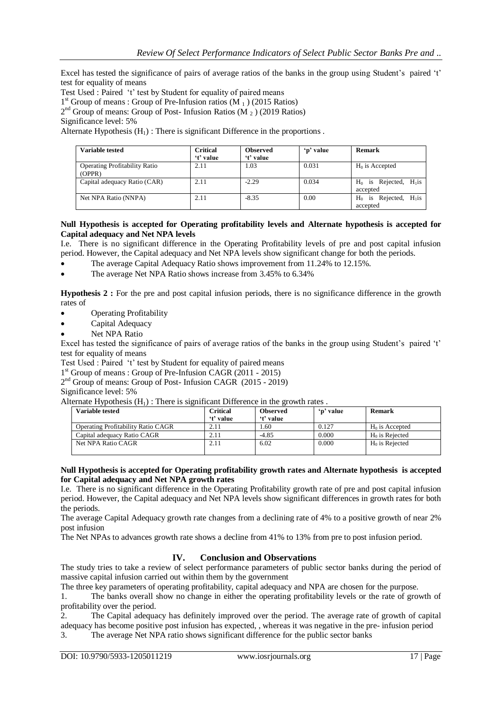Excel has tested the significance of pairs of average ratios of the banks in the group using Student's paired 't' test for equality of means

Test Used : Paired 't' test by Student for equality of paired means

1<sup>st</sup> Group of means : Group of Pre-Infusion ratios (M<sub>1</sub>) (2015 Ratios)

2<sup>nd</sup> Group of means: Group of Post- Infusion Ratios (M<sub>2</sub>) (2019 Ratios)

Significance level: 5%

Alternate Hypothesis  $(H_1)$ : There is significant Difference in the proportions.

| Variable tested                                | <b>Critical</b><br>'t' value | <b>Observed</b><br>'t' value | 'p' value | Remark                                        |
|------------------------------------------------|------------------------------|------------------------------|-----------|-----------------------------------------------|
| <b>Operating Profitability Ratio</b><br>(OPPR) | 2.11                         | 1.03                         | 0.031     | $H_0$ is Accepted                             |
| Capital adequacy Ratio (CAR)                   | 2.11                         | $-2.29$                      | 0.034     | is Rejected, $H_1$ is<br>$H_0$<br>accepted    |
| Net NPA Ratio (NNPA)                           | 2.11                         | $-8.35$                      | 0.00      | is Rejected,<br>$H_1$ is<br>$H_0$<br>accepted |

#### **Null Hypothesis is accepted for Operating profitability levels and Alternate hypothesis is accepted for Capital adequacy and Net NPA levels**

I.e. There is no significant difference in the Operating Profitability levels of pre and post capital infusion period. However, the Capital adequacy and Net NPA levels show significant change for both the periods.

- The average Capital Adequacy Ratio shows improvement from 11.24% to 12.15%.
- The average Net NPA Ratio shows increase from 3.45% to 6.34%

**Hypothesis 2 :** For the pre and post capital infusion periods, there is no significance difference in the growth rates of

- Operating Profitability
- Capital Adequacy
- Net NPA Ratio

Excel has tested the significance of pairs of average ratios of the banks in the group using Student's paired 't' test for equality of means

Test Used : Paired 't' test by Student for equality of paired means

1<sup>st</sup> Group of means : Group of Pre-Infusion CAGR (2011 - 2015)

2<sup>nd</sup> Group of means: Group of Post- Infusion CAGR (2015 - 2019)

Significance level: 5%

Alternate Hypothesis  $(H_1)$ : There is significant Difference in the growth rates.

| Variable tested                    | Critical<br>'t' value | <b>Observed</b><br>'t' value | 'n' value | Remark                     |
|------------------------------------|-----------------------|------------------------------|-----------|----------------------------|
| Operating Profitability Ratio CAGR | 2.11                  | . 60                         | 0.127     | $H_0$ is Accepted          |
| Capital adequacy Ratio CAGR        | 2.11                  | $-4.85$                      | 0.000     | H <sub>0</sub> is Rejected |
| Net NPA Ratio CAGR                 | 2.11                  | 6.02                         | 0.000     | $H_0$ is Rejected          |

#### **Null Hypothesis is accepted for Operating profitability growth rates and Alternate hypothesis is accepted for Capital adequacy and Net NPA growth rates**

I.e. There is no significant difference in the Operating Profitability growth rate of pre and post capital infusion period. However, the Capital adequacy and Net NPA levels show significant differences in growth rates for both the periods.

The average Capital Adequacy growth rate changes from a declining rate of 4% to a positive growth of near 2% post infusion

The Net NPAs to advances growth rate shows a decline from 41% to 13% from pre to post infusion period.

# **IV. Conclusion and Observations**

The study tries to take a review of select performance parameters of public sector banks during the period of massive capital infusion carried out within them by the government

The three key parameters of operating profitability, capital adequacy and NPA are chosen for the purpose.

1. The banks overall show no change in either the operating profitability levels or the rate of growth of profitability over the period.

2. The Capital adequacy has definitely improved over the period. The average rate of growth of capital adequacy has become positive post infusion has expected, , whereas it was negative in the pre- infusion period 3. The average Net NPA ratio shows significant difference for the public sector banks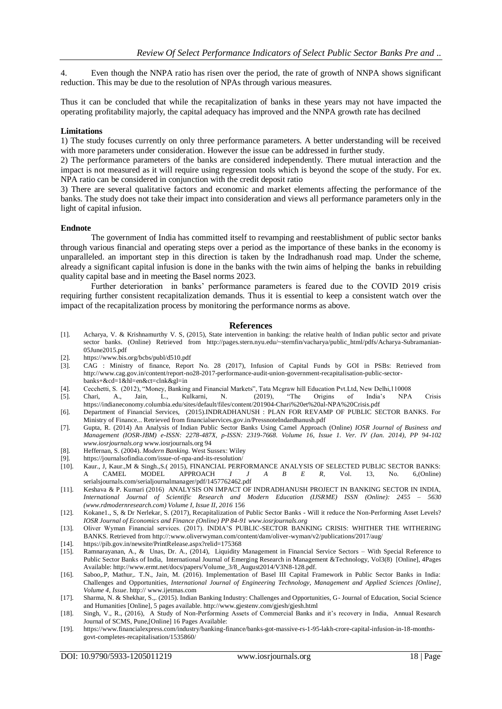4. Even though the NNPA ratio has risen over the period, the rate of growth of NNPA shows significant reduction. This may be due to the resolution of NPAs through various measures.

Thus it can be concluded that while the recapitalization of banks in these years may not have impacted the operating profitability majorly, the capital adequacy has improved and the NNPA growth rate has decilned

#### **Limitations**

1) The study focuses currently on only three performance parameters. A better understanding will be received with more parameters under consideration. However the issue can be addressed in further study.

2) The performance parameters of the banks are considered independently. There mutual interaction and the impact is not measured as it will require using regression tools which is beyond the scope of the study. For ex. NPA ratio can be considered in conjunction with the credit deposit ratio

3) There are several qualitative factors and economic and market elements affecting the performance of the banks. The study does not take their impact into consideration and views all performance parameters only in the light of capital infusion.

#### **Endnote**

The government of India has committed itself to revamping and reestablishment of public sector banks through various financial and operating steps over a period as the importance of these banks in the economy is unparalleled. an important step in this direction is taken by the Indradhanush road map. Under the scheme, already a significant capital infusion is done in the banks with the twin aims of helping the banks in rebuilding quality capital base and in meeting the Basel norms 2023.

Further deterioration in banks' performance parameters is feared due to the COVID 2019 crisis requiring further consistent recapitalization demands. Thus it is essential to keep a consistent watch over the impact of the recapitalization process by monitoring the performance norms as above.

#### **References**

- [1]. Acharya, V. & Krishnamurthy V. S, (2015), State intervention in banking: the relative health of Indian public sector and private sector banks. (Online) Retrieved from http://pages.stern.nyu.edu/~sternfin/vacharya/public\_html/pdfs/Acharya-Subramanian-05June2015.pdf
- [2]. https://www.bis.org/bcbs/publ/d510.pdf
- [3]. CAG : Ministry of finance, Report No. 28 (2017), Infusion of Capital Funds by GOI in PSBs: Retrieved from http://www.cag.gov.in/content/report-no28-2017-performance-audit-union-government-recapitalisation-public-sectorbanks+&cd=1&hl=en&ct=clnk&gl=in
- [4]. Cecchetti, S. (2012), "Money, Banking and Financial Markets", Tata Mcgraw hill Education Pvt.Ltd, New Delhi,110008
- [5]. Chari, A., Jain, L., Kulkarni, N. (2019), "The Origins of India's NPA Crisis https://indianeconomy.columbia.edu/sites/default/files/content/201904-Chari%20et%20al-NPA%20Crisis.pdf
- [6]. Department of Financial Services, (2015).INDRADHANUSH : PLAN FOR REVAMP OF PUBLIC SECTOR BANKS. For Ministry of Finance... Retrieved from financialservices.gov.in/PressnoteIndardhanush.pdf
- [7]. Gupta, R. (2014) An Analysis of Indian Public Sector Banks Using Camel Approach (Online) *IOSR Journal of Business and Management (IOSR-JBM) e-ISSN: 2278-487X, p-ISSN: 2319-7668. Volume 16, Issue 1. Ver. IV (Jan. 2014), PP 94-102 www.iosrjournals.org* www.iosrjournals.org 94
- [8]. Heffernan, S. (2004). *Modern Banking.* West Sussex: Wiley
- [9]. https://journalsofindia.com/issue-of-npa-and-its-resolution/
- **Exaur., J, Kaur.,M & Singh.,S.( 2015), FINANCIAL PERFORMANCE ANALYSIS OF SELECTED PUBLIC SECTOR BANKS:**<br>A CAMEL MODEL APPROACH *I J A B E R*, Vol. 13, No. 6,(Online) A CAMEL MODEL APPROACH *I J A B E R*, Vol. 13, No. 6,(Online) serialsjournals.com/serialjournalmanager/pdf/1457762462.pdf
- [11]. Keshava & P. Kumari (2016) ANALYSIS ON IMPACT OF INDRADHANUSH PROJECT IN BANKING SECTOR IN INDIA, *International Journal of Scientific Research and Modern Education (IJSRME) ISSN (Online): 2455 – 5630 (www.rdmodernresearch.com) Volume I, Issue II, 2016* 156
- [12]. Kokane1., S, & Dr Nerlekar, S. (2017), Recapitalization of Public Sector Banks Will it reduce the Non-Performing Asset Levels? *IOSR Journal of Economics and Finance (Online) PP 84-91 www.iosrjournals.org*
- [13]. Oliver Wyman Financial services. (2017). INDIA'S PUBLIC-SECTOR BANKING CRISIS: WHITHER THE WITHERING BANKS. Retrieved from http://:www.oliverwyman.com/content/dam/oliver-wyman/v2/publications/2017/aug/
- [14]. https://pib.gov.in/newsite/PrintRelease.aspx?relid=175368
- [15]. Ramnarayanan, A., & Unas, Dr. A., (2014), Liquidity Management in Financial Service Sectors With Special Reference to Public Sector Banks of India, International Journal of Emerging Research in Management &Technology, Vol3(8) [Online], 4Pages Available: http://www.ermt.net/docs/papers/Volume\_3/8\_August2014/V3N8-128.pdf.
- [16]. Saboo,.P, Mathur,. T.N., Jain, M. (2016). Implementation of Basel III Capital Framework in Public Sector Banks in India: Challenges and Opportunities, *International Journal of Engineering Technology, Management and Applied Sciences [Online], Volume 4, Issue*. http:// www.ijetmas.com
- [17]. Sharma, N. & Shekhar, S.,. (2015). Indian Banking Industry: Challenges and Opportunities, G- Journal of Education, Social Science and Humanities [Online], 5 pages available. http://www.gjestenv.com/gjesh/gjesh.html
- [18]. Singh, V., R., (2016), A Study of Non-Performing Assets of Commercial Banks and it's recovery in India, Annual Research Journal of SCMS, Pune,[Online] 16 Pages Available:
- [19]. https://www.financialexpress.com/industry/banking-finance/banks-got-massive-rs-1-95-lakh-crore-capital-infusion-in-18-monthsgovt-completes-recapitalisation/1535860/